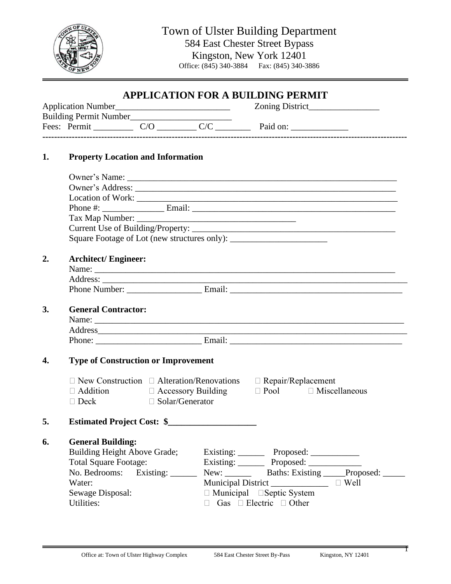

Town of Ulster Building Department 584 East Chester Street Bypass Kingston, New York 12401<br>ce: (845) 340-3884 Fax: (845) 340-3886 Office:  $(845)$  340-3884

## **APPLICATION FOR A BUILDING PERMIT**

| Application Number |                               |  |  | Zoning District |
|--------------------|-------------------------------|--|--|-----------------|
|                    | <b>Building Permit Number</b> |  |  |                 |
|                    | Fees: Permit                  |  |  | Paid on:        |
|                    |                               |  |  |                 |

## **1. Property Location and Information**

| <b>General Contractor:</b>                                                 |  |  |  |  |
|----------------------------------------------------------------------------|--|--|--|--|
|                                                                            |  |  |  |  |
| Address                                                                    |  |  |  |  |
|                                                                            |  |  |  |  |
|                                                                            |  |  |  |  |
| <b>Type of Construction or Improvement</b>                                 |  |  |  |  |
|                                                                            |  |  |  |  |
| $\Box$ Addition $\Box$ Accessory Building $\Box$ Pool $\Box$ Miscellaneous |  |  |  |  |
|                                                                            |  |  |  |  |
|                                                                            |  |  |  |  |
|                                                                            |  |  |  |  |
|                                                                            |  |  |  |  |
|                                                                            |  |  |  |  |
|                                                                            |  |  |  |  |
|                                                                            |  |  |  |  |
|                                                                            |  |  |  |  |
|                                                                            |  |  |  |  |
| New: _________ Baths: Existing _____Proposed: _____                        |  |  |  |  |
| Building Height Above Grade; Existing: Proposed: ________                  |  |  |  |  |

 $\overline{\mathsf{T}}$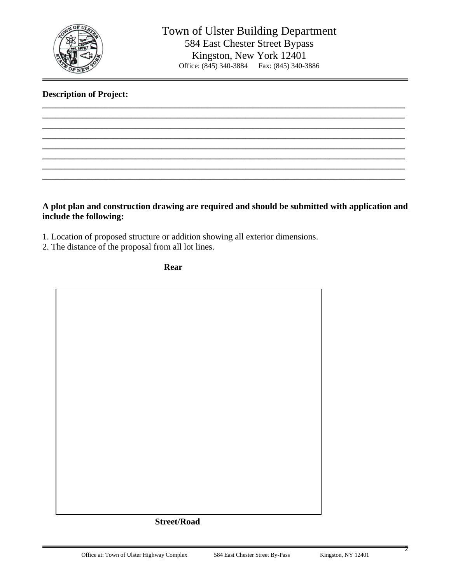

## **Description of Project:**

**A plot plan and construction drawing are required and should be submitted with application and include the following:**

**\_\_\_\_\_\_\_\_\_\_\_\_\_\_\_\_\_\_\_\_\_\_\_\_\_\_\_\_\_\_\_\_\_\_\_\_\_\_\_\_\_\_\_\_\_\_\_\_\_\_\_\_\_\_\_\_\_\_\_\_\_\_\_\_\_\_\_\_\_\_\_\_\_\_\_\_\_\_\_\_\_\_ \_\_\_\_\_\_\_\_\_\_\_\_\_\_\_\_\_\_\_\_\_\_\_\_\_\_\_\_\_\_\_\_\_\_\_\_\_\_\_\_\_\_\_\_\_\_\_\_\_\_\_\_\_\_\_\_\_\_\_\_\_\_\_\_\_\_\_\_\_\_\_\_\_\_\_\_\_\_\_\_\_\_ \_\_\_\_\_\_\_\_\_\_\_\_\_\_\_\_\_\_\_\_\_\_\_\_\_\_\_\_\_\_\_\_\_\_\_\_\_\_\_\_\_\_\_\_\_\_\_\_\_\_\_\_\_\_\_\_\_\_\_\_\_\_\_\_\_\_\_\_\_\_\_\_\_\_\_\_\_\_\_\_\_\_ \_\_\_\_\_\_\_\_\_\_\_\_\_\_\_\_\_\_\_\_\_\_\_\_\_\_\_\_\_\_\_\_\_\_\_\_\_\_\_\_\_\_\_\_\_\_\_\_\_\_\_\_\_\_\_\_\_\_\_\_\_\_\_\_\_\_\_\_\_\_\_\_\_\_\_\_\_\_\_\_\_\_ \_\_\_\_\_\_\_\_\_\_\_\_\_\_\_\_\_\_\_\_\_\_\_\_\_\_\_\_\_\_\_\_\_\_\_\_\_\_\_\_\_\_\_\_\_\_\_\_\_\_\_\_\_\_\_\_\_\_\_\_\_\_\_\_\_\_\_\_\_\_\_\_\_\_\_\_\_\_\_\_\_\_ \_\_\_\_\_\_\_\_\_\_\_\_\_\_\_\_\_\_\_\_\_\_\_\_\_\_\_\_\_\_\_\_\_\_\_\_\_\_\_\_\_\_\_\_\_\_\_\_\_\_\_\_\_\_\_\_\_\_\_\_\_\_\_\_\_\_\_\_\_\_\_\_\_\_\_\_\_\_\_\_\_\_ \_\_\_\_\_\_\_\_\_\_\_\_\_\_\_\_\_\_\_\_\_\_\_\_\_\_\_\_\_\_\_\_\_\_\_\_\_\_\_\_\_\_\_\_\_\_\_\_\_\_\_\_\_\_\_\_\_\_\_\_\_\_\_\_\_\_\_\_\_\_\_\_\_\_\_\_\_\_\_\_\_\_ \_\_\_\_\_\_\_\_\_\_\_\_\_\_\_\_\_\_\_\_\_\_\_\_\_\_\_\_\_\_\_\_\_\_\_\_\_\_\_\_\_\_\_\_\_\_\_\_\_\_\_\_\_\_\_\_\_\_\_\_\_\_\_\_\_\_\_\_\_\_\_\_\_\_\_\_\_\_\_\_\_\_**

1. Location of proposed structure or addition showing all exterior dimensions.

2. The distance of the proposal from all lot lines.

**Rear**

## **Street/Road**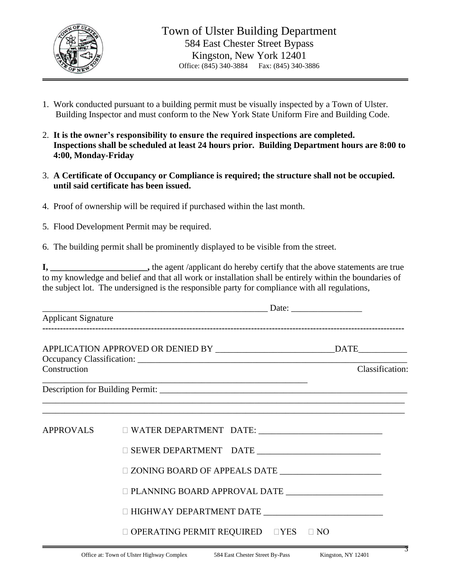

- 1. Work conducted pursuant to a building permit must be visually inspected by a Town of Ulster. Building Inspector and must conform to the New York State Uniform Fire and Building Code.
- 2. **It is the owner's responsibility to ensure the required inspections are completed. Inspections shall be scheduled at least 24 hours prior. Building Department hours are 8:00 to 4:00, Monday-Friday**
- 3. **A Certificate of Occupancy or Compliance is required; the structure shall not be occupied. until said certificate has been issued.**
- 4. Proof of ownership will be required if purchased within the last month.
- 5. Flood Development Permit may be required.
- 6. The building permit shall be prominently displayed to be visible from the street.

**I, \_\_\_\_\_\_\_\_\_\_\_\_\_\_\_\_\_\_\_\_\_\_,** the agent /applicant do hereby certify that the above statements are true to my knowledge and belief and that all work or installation shall be entirely within the boundaries of the subject lot. The undersigned is the responsible party for compliance with all regulations,

| <b>Applicant Signature</b> |                                                       |  |  |  |
|----------------------------|-------------------------------------------------------|--|--|--|
| Construction               | Classification:                                       |  |  |  |
|                            |                                                       |  |  |  |
| <b>APPROVALS</b>           |                                                       |  |  |  |
|                            |                                                       |  |  |  |
|                            |                                                       |  |  |  |
|                            |                                                       |  |  |  |
|                            | $\Box$ HIGHWAY DEPARTMENT DATE                        |  |  |  |
|                            | $\Box$ OPERATING PERMIT REQUIRED $\Box$ YES $\Box$ NO |  |  |  |